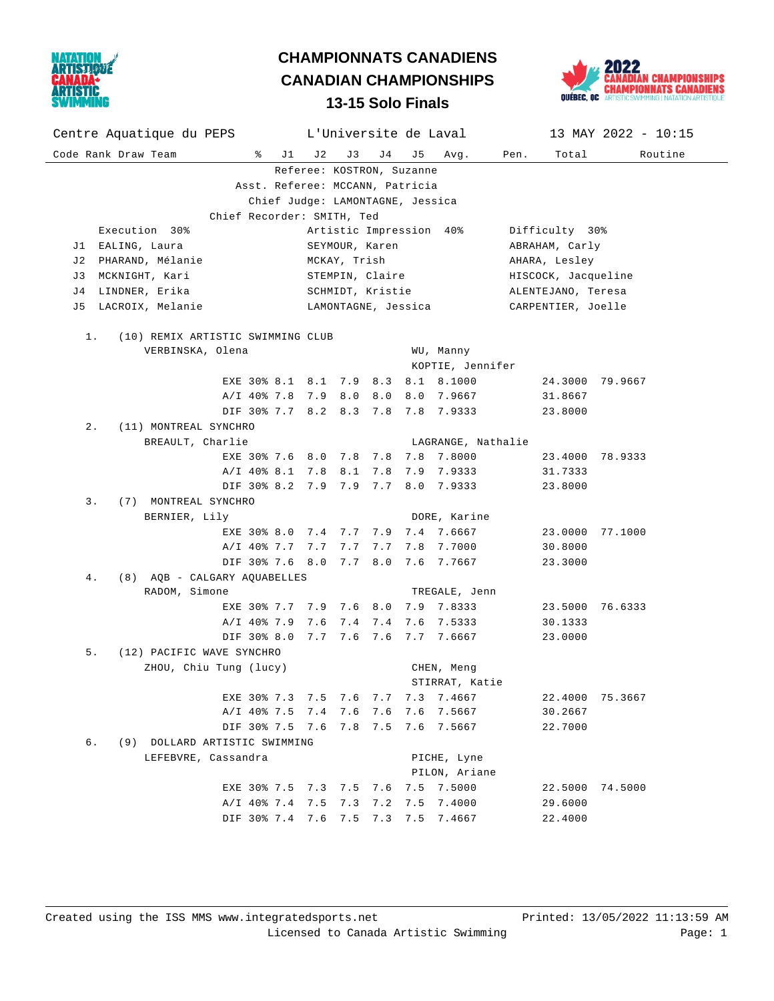

## **13-15 Solo Finals CHAMPIONNATS CANADIENS CANADIAN CHAMPIONSHIPS**



| Centre Aquatique du PEPS                                             |                 | L'Universite de Laval   |                    |                | 13 MAY 2022 - $10:15$ |  |  |  |  |  |  |
|----------------------------------------------------------------------|-----------------|-------------------------|--------------------|----------------|-----------------------|--|--|--|--|--|--|
| Code Rank Draw Team<br>ွေ<br>J 1                                     | J 2<br>J 3      | J4<br>J 5               | Avg.               | Pen.<br>Total  | Routine               |  |  |  |  |  |  |
| Referee: KOSTRON, Suzanne                                            |                 |                         |                    |                |                       |  |  |  |  |  |  |
| Asst. Referee: MCCANN, Patricia                                      |                 |                         |                    |                |                       |  |  |  |  |  |  |
| Chief Judge: LAMONTAGNE, Jessica                                     |                 |                         |                    |                |                       |  |  |  |  |  |  |
| Chief Recorder: SMITH, Ted                                           |                 |                         |                    |                |                       |  |  |  |  |  |  |
| Execution 30%                                                        |                 | Artistic Impression 40% |                    | Difficulty 30% |                       |  |  |  |  |  |  |
| J1 EALING, Laura                                                     | SEYMOUR, Karen  |                         |                    | ABRAHAM, Carly |                       |  |  |  |  |  |  |
| J2 PHARAND, Mélanie                                                  | MCKAY, Trish    |                         |                    | AHARA, Lesley  | HISCOCK, Jacqueline   |  |  |  |  |  |  |
| J3 MCKNIGHT, Kari<br>J4 LINDNER, Erika                               | STEMPIN, Claire |                         |                    |                | ALENTEJANO, Teresa    |  |  |  |  |  |  |
|                                                                      |                 | SCHMIDT, Kristie        |                    |                |                       |  |  |  |  |  |  |
| LACROIX, Melanie<br>LAMONTAGNE, Jessica<br>CARPENTIER, Joelle<br>J 5 |                 |                         |                    |                |                       |  |  |  |  |  |  |
| (10) REMIX ARTISTIC SWIMMING CLUB<br>1.                              |                 |                         |                    |                |                       |  |  |  |  |  |  |
| VERBINSKA, Olena                                                     |                 |                         | WU, Manny          |                |                       |  |  |  |  |  |  |
| KOPTIE, Jennifer                                                     |                 |                         |                    |                |                       |  |  |  |  |  |  |
| EXE 30% 8.1 8.1 7.9 8.3 8.1 8.1000                                   |                 |                         |                    |                | 24.3000 79.9667       |  |  |  |  |  |  |
| A/I 40% 7.8 7.9 8.0 8.0                                              |                 |                         | 8.0 7.9667         | 31.8667        |                       |  |  |  |  |  |  |
| DIF 30% 7.7 8.2 8.3 7.8 7.8 7.9333                                   |                 |                         |                    | 23.8000        |                       |  |  |  |  |  |  |
| $2$ .<br>(11) MONTREAL SYNCHRO                                       |                 |                         |                    |                |                       |  |  |  |  |  |  |
| BREAULT, Charlie                                                     |                 |                         | LAGRANGE, Nathalie |                |                       |  |  |  |  |  |  |
| EXE 30% 7.6 8.0 7.8 7.8 7.8 7.8000                                   |                 |                         |                    |                | 23.4000 78.9333       |  |  |  |  |  |  |
| A/I 40% 8.1 7.8 8.1 7.8                                              |                 |                         | 7.9 7.9333         | 31.7333        |                       |  |  |  |  |  |  |
| DIF 30% 8.2 7.9 7.9 7.7                                              |                 |                         | 8.0 7.9333         | 23.8000        |                       |  |  |  |  |  |  |
| 3.<br>(7) MONTREAL SYNCHRO                                           |                 |                         |                    |                |                       |  |  |  |  |  |  |
| BERNIER, Lily                                                        |                 |                         | DORE, Karine       |                |                       |  |  |  |  |  |  |
| EXE 30% 8.0 7.4 7.7 7.9 7.4 7.6667                                   |                 |                         |                    |                | 23.0000 77.1000       |  |  |  |  |  |  |
| A/I 40% 7.7 7.7 7.7 7.7                                              |                 |                         | 7.8 7.7000         | 30.8000        |                       |  |  |  |  |  |  |
| DIF 30% 7.6 8.0 7.7 8.0                                              |                 |                         | 7.6 7.7667         | 23.3000        |                       |  |  |  |  |  |  |
| (8) AQB - CALGARY AQUABELLES<br>4.<br>RADOM, Simone<br>TREGALE, Jenn |                 |                         |                    |                |                       |  |  |  |  |  |  |
| EXE 30% 7.7 7.9 7.6 8.0 7.9 7.8333                                   |                 |                         |                    |                | 23.5000 76.6333       |  |  |  |  |  |  |
| A/I 40% 7.9 7.6 7.4 7.4                                              |                 |                         | 7.6 7.5333         | 30.1333        |                       |  |  |  |  |  |  |
| DIF 30% 8.0 7.7 7.6 7.6 7.7 7.6667                                   |                 |                         |                    | 23.0000        |                       |  |  |  |  |  |  |
| 5.<br>(12) PACIFIC WAVE SYNCHRO                                      |                 |                         |                    |                |                       |  |  |  |  |  |  |
| ZHOU, Chiu Tung (lucy)                                               |                 |                         | CHEN, Meng         |                |                       |  |  |  |  |  |  |
| STIRRAT, Katie                                                       |                 |                         |                    |                |                       |  |  |  |  |  |  |
| EXE 30% 7.3 7.5                                                      | 7.6             | 7.7<br>7.3              | 7.4667             | 22.4000        | 75.3667               |  |  |  |  |  |  |
| A/I 40% 7.5 7.4 7.6                                                  |                 | 7.6 7.6                 | 7.5667             | 30.2667        |                       |  |  |  |  |  |  |
| DIF 30% 7.5 7.6 7.8 7.5 7.6 7.5667                                   |                 |                         |                    | 22.7000        |                       |  |  |  |  |  |  |
| б.<br>(9) DOLLARD ARTISTIC SWIMMING                                  |                 |                         |                    |                |                       |  |  |  |  |  |  |
| LEFEBVRE, Cassandra<br>PICHE, Lyne                                   |                 |                         |                    |                |                       |  |  |  |  |  |  |
|                                                                      | PILON, Ariane   |                         |                    |                |                       |  |  |  |  |  |  |
| EXE 30% 7.5 7.3 7.5                                                  |                 | 7.6<br>7.5              | 7.5000             | 22.5000        | 74.5000               |  |  |  |  |  |  |
| A/I 40% 7.4 7.5                                                      | 7.3             | 7.2<br>7.5              | 7.4000             | 29.6000        |                       |  |  |  |  |  |  |
| DIF 30% 7.4 7.6                                                      | 7.5             | 7.3<br>7.5              | 7.4667             | 22.4000        |                       |  |  |  |  |  |  |